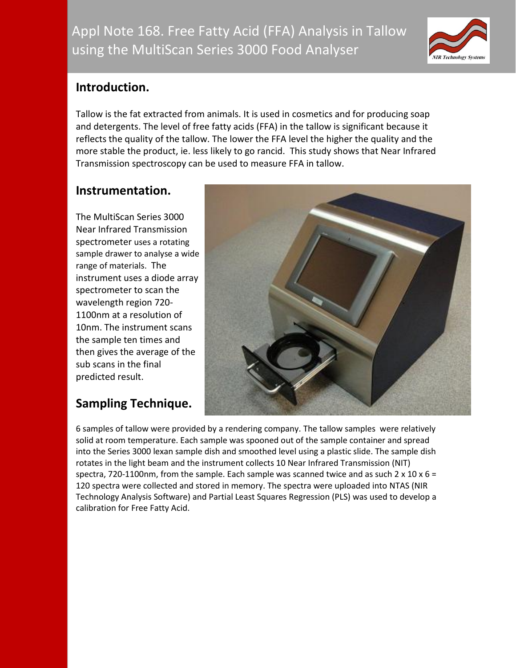

## **Introduction.**

Tallow is the fat extracted from animals. It is used in cosmetics and for producing soap and detergents. The level of free fatty acids (FFA) in the tallow is significant because it reflects the quality of the tallow. The lower the FFA level the higher the quality and the more stable the product, ie. less likely to go rancid. This study shows that Near Infrared Transmission spectroscopy can be used to measure FFA in tallow.

# **Instrumentation.**

The MultiScan Series 3000 Near Infrared Transmission spectrometer uses a rotating sample drawer to analyse a wide range of materials. The instrument uses a diode array spectrometer to scan the wavelength region 720- 1100nm at a resolution of 10nm. The instrument scans the sample ten times and then gives the average of the sub scans in the final predicted result.

# **Sampling Technique.**



6 samples of tallow were provided by a rendering company. The tallow samples were relatively solid at room temperature. Each sample was spooned out of the sample container and spread into the Series 3000 lexan sample dish and smoothed level using a plastic slide. The sample dish rotates in the light beam and the instrument collects 10 Near Infrared Transmission (NIT) spectra, 720-1100nm, from the sample. Each sample was scanned twice and as such  $2 \times 10 \times 6 =$ 120 spectra were collected and stored in memory. The spectra were uploaded into NTAS (NIR Technology Analysis Software) and Partial Least Squares Regression (PLS) was used to develop a calibration for Free Fatty Acid.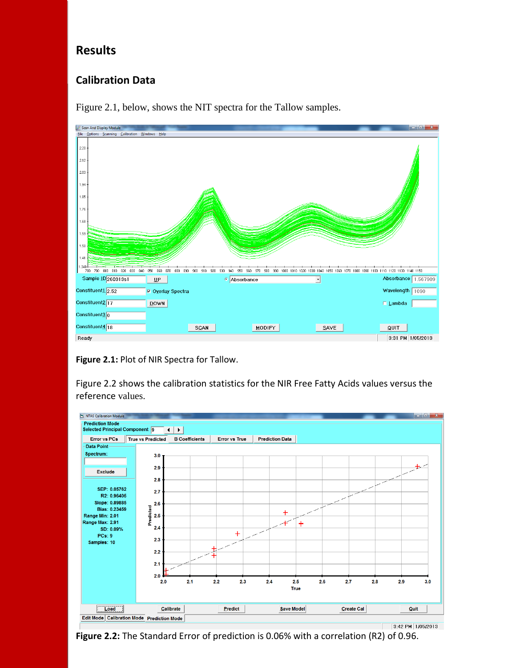#### **Results**

#### **Calibration Data**



Figure 2.1, below, shows the NIT spectra for the Tallow samples.

**Figure 2.1:** Plot of NIR Spectra for Tallow.

Figure 2.2 shows the calibration statistics for the NIR Free Fatty Acids values versus the reference values.